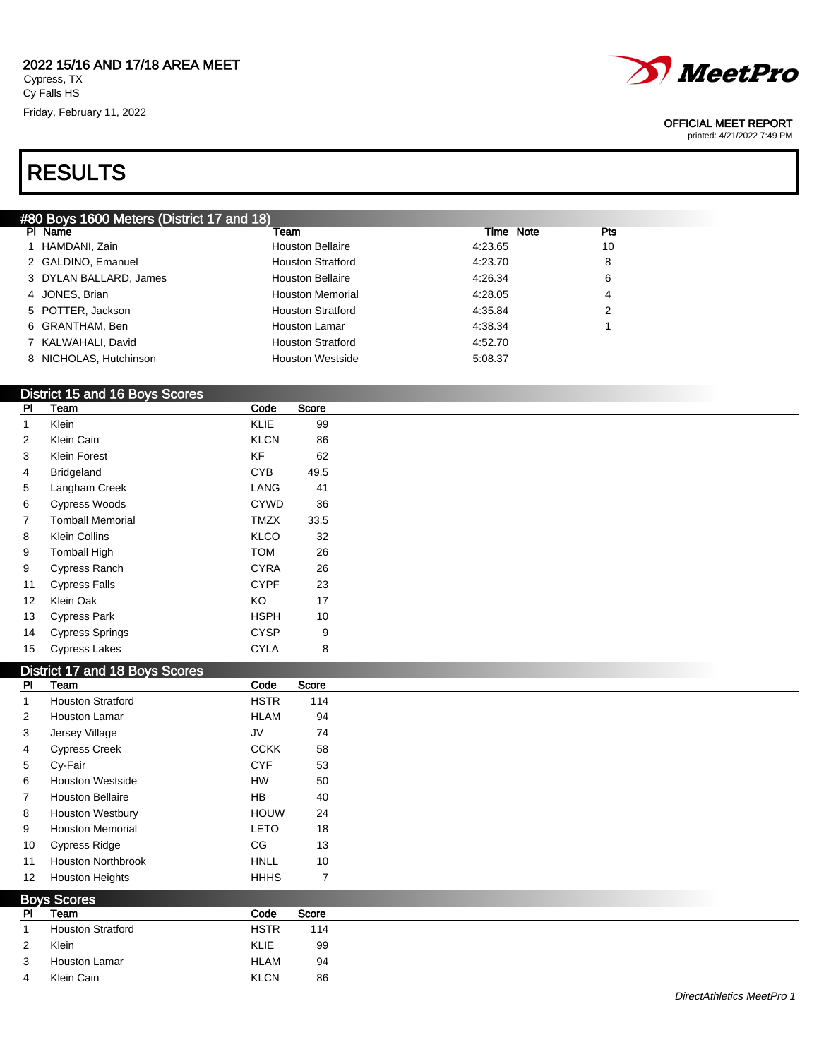Friday, February 11, 2022



#### OFFICIAL MEET REPORT

printed: 4/21/2022 7:49 PM

# RESULTS

| #80 Boys 1600 Meters (District 17 and 18) |                        |                          |           |     |  |  |  |
|-------------------------------------------|------------------------|--------------------------|-----------|-----|--|--|--|
|                                           | PI Name                | Team                     | Time Note | Pts |  |  |  |
|                                           | 1 HAMDANI, Zain        | <b>Houston Bellaire</b>  | 4:23.65   | 10  |  |  |  |
|                                           | 2 GALDINO, Emanuel     | <b>Houston Stratford</b> | 4:23.70   | 8   |  |  |  |
|                                           | 3 DYLAN BALLARD, James | <b>Houston Bellaire</b>  | 4:26.34   | 6   |  |  |  |
|                                           | 4 JONES, Brian         | <b>Houston Memorial</b>  | 4:28.05   | 4   |  |  |  |
|                                           | 5 POTTER, Jackson      | <b>Houston Stratford</b> | 4:35.84   | 2   |  |  |  |
|                                           | 6 GRANTHAM, Ben        | <b>Houston Lamar</b>     | 4:38.34   |     |  |  |  |
|                                           | 7 KALWAHALI, David     | <b>Houston Stratford</b> | 4:52.70   |     |  |  |  |
|                                           | 8 NICHOLAS, Hutchinson | <b>Houston Westside</b>  | 5:08.37   |     |  |  |  |

### District 15 and 16 Boys Scores

| PI | Team                    | Code        | Score |
|----|-------------------------|-------------|-------|
| 1  | Klein                   | KLIE        | 99    |
| 2  | Klein Cain              | <b>KLCN</b> | 86    |
| 3  | Klein Forest            | ΚF          | 62    |
| 4  | <b>Bridgeland</b>       | CYB         | 49.5  |
| 5  | Langham Creek           | LANG        | 41    |
| 6  | <b>Cypress Woods</b>    | <b>CYWD</b> | 36    |
| 7  | <b>Tomball Memorial</b> | TMZX        | 33.5  |
| 8  | <b>Klein Collins</b>    | KLCO        | 32    |
| 9  | <b>Tomball High</b>     | <b>TOM</b>  | 26    |
| 9  | Cypress Ranch           | CYRA        | 26    |
| 11 | <b>Cypress Falls</b>    | CYPF        | 23    |
| 12 | Klein Oak               | KΟ          | 17    |
| 13 | <b>Cypress Park</b>     | HSPH        | 10    |
| 14 | <b>Cypress Springs</b>  | CYSP        | 9     |
| 15 | <b>Cypress Lakes</b>    | CYLA        | 8     |

#### District 17 and 18 Boys Scores

| <b>PI</b>         | Team                      | Code        | Score                    |
|-------------------|---------------------------|-------------|--------------------------|
|                   | <b>Houston Stratford</b>  | <b>HSTR</b> | 114                      |
| $\overline{2}$    | <b>Houston Lamar</b>      | <b>HLAM</b> | 94                       |
| 3                 | Jersey Village            | JV          | 74                       |
| 4                 | <b>Cypress Creek</b>      | <b>CCKK</b> | 58                       |
| 5                 | Cy-Fair                   | <b>CYF</b>  | 53                       |
| 6                 | <b>Houston Westside</b>   | <b>HW</b>   | 50                       |
| $\overline{7}$    | <b>Houston Bellaire</b>   | <b>HB</b>   | 40                       |
| 8                 | <b>Houston Westbury</b>   | <b>HOUW</b> | 24                       |
| 9                 | <b>Houston Memorial</b>   | <b>LETO</b> | 18                       |
| 10                | <b>Cypress Ridge</b>      | CG          | 13                       |
| 11                | <b>Houston Northbrook</b> | <b>HNLL</b> | 10                       |
| $12 \overline{ }$ | <b>Houston Heights</b>    | <b>HHHS</b> | $\overline{\phantom{a}}$ |

| <b>Boys Scores</b> |                          |             |       |  |  |
|--------------------|--------------------------|-------------|-------|--|--|
| <b>PI</b>          | Team                     | Code        | Score |  |  |
|                    | <b>Houston Stratford</b> | <b>HSTR</b> | 114   |  |  |
| $\overline{2}$     | Klein                    | <b>KLIE</b> | 99    |  |  |
| 3                  | Houston Lamar            | <b>HLAM</b> | 94    |  |  |
| 4                  | Klein Cain               | <b>KLCN</b> | 86    |  |  |